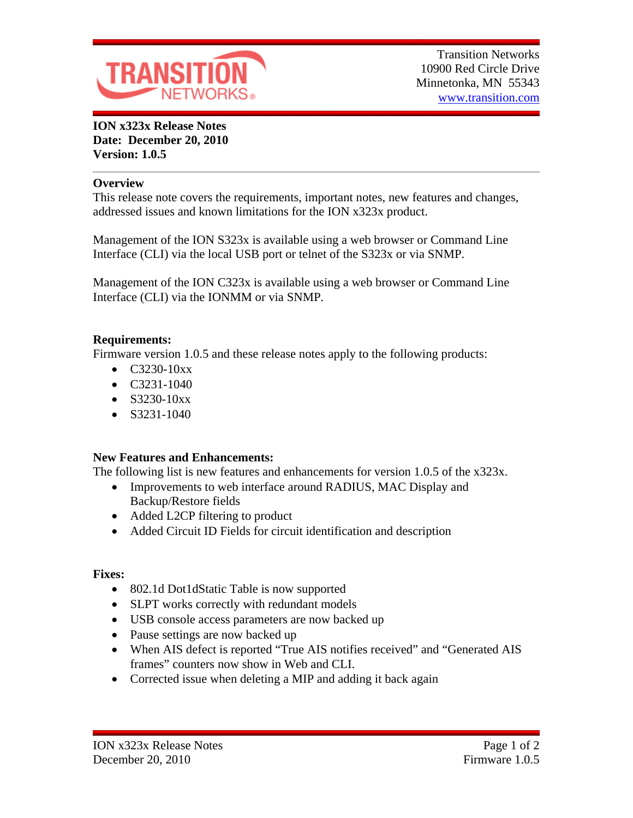

**ION x323x Release Notes Date: December 20, 2010 Version: 1.0.5**

#### **Overview**

This release note covers the requirements, important notes, new features and changes, addressed issues and known limitations for the ION x323x product.

Management of the ION S323x is available using a web browser or Command Line Interface (CLI) via the local USB port or telnet of the S323x or via SNMP.

Management of the ION C323x is available using a web browser or Command Line Interface (CLI) via the IONMM or via SNMP.

## **Requirements:**

Firmware version 1.0.5 and these release notes apply to the following products:

- $\bullet$  C3230-10xx
- $\bullet$  C3231-1040
- $\bullet$  S3230-10xx
- $\bullet$  S3231-1040

## **New Features and Enhancements:**

The following list is new features and enhancements for version 1.0.5 of the x323x.

- Improvements to web interface around RADIUS, MAC Display and Backup/Restore fields
- Added L2CP filtering to product
- Added Circuit ID Fields for circuit identification and description

#### **Fixes:**

- 802.1d Dot1dStatic Table is now supported
- SLPT works correctly with redundant models
- USB console access parameters are now backed up
- Pause settings are now backed up
- When AIS defect is reported "True AIS notifies received" and "Generated AIS frames" counters now show in Web and CLI.
- Corrected issue when deleting a MIP and adding it back again